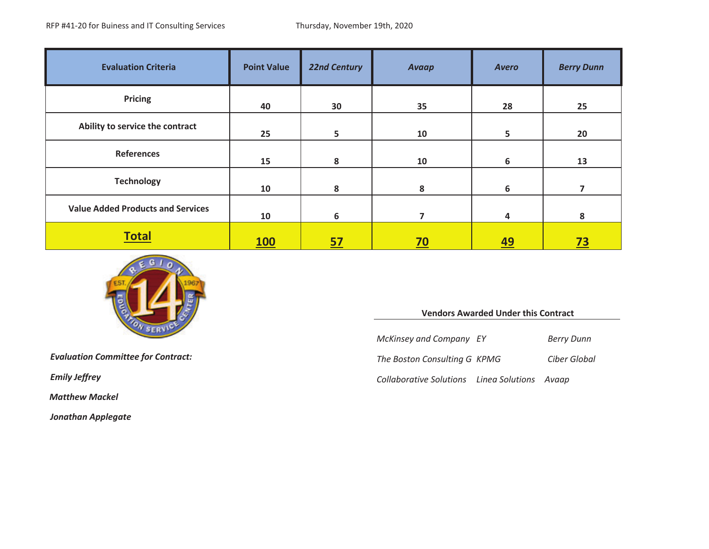| <b>Evaluation Criteria</b>               | <b>Point Value</b> | <b>22nd Century</b> | Avaap                    | <b>Avero</b> | <b>Berry Dunn</b> |
|------------------------------------------|--------------------|---------------------|--------------------------|--------------|-------------------|
| Pricing                                  | 40                 | 30                  | 35                       | 28           | 25                |
| Ability to service the contract          | 25                 | 5                   | 10                       | 5            | 20                |
| References                               | 15                 | 8                   | 10                       | 6            | 13                |
| <b>Technology</b>                        | 10                 | 8                   | 8                        | 6            |                   |
| <b>Value Added Products and Services</b> | 10                 | 6                   | $\overline{\phantom{a}}$ | 4            | 8                 |
| <b>Total</b>                             | <b>100</b>         | <u>57</u>           | $\overline{20}$          | <u>49</u>    | <u>73</u>         |



*Matthew Mackel*

*Jonathan Applegate*

#### **Vendors Awarded Under this Contract**

*McKinsey and Company EY Berry Dunn*

*Boston Consulting G KPMG Ciber Global*

*Emily Jeffrey Collaborative Solutions Linea Solutions Avaap*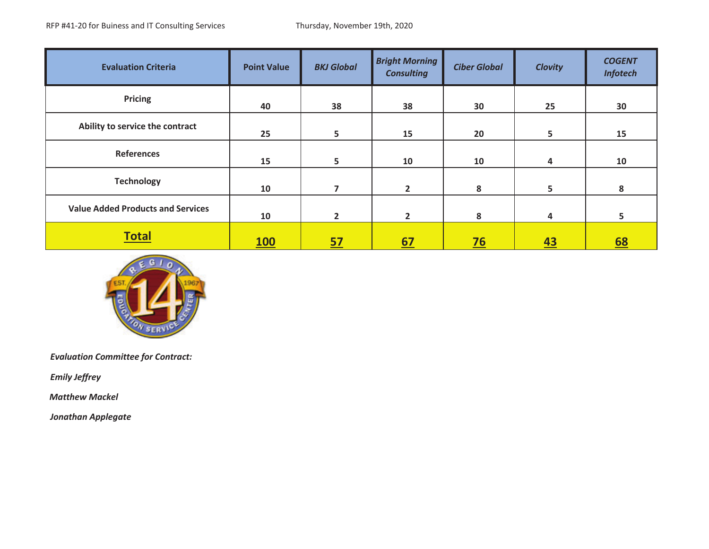| <b>Evaluation Criteria</b>               | <b>Point Value</b> | <b>BKJ Global</b> | <b>Bright Morning</b><br><b>Consulting</b> | <b>Ciber Global</b> | <b>Clovity</b> | <b>COGENT</b><br><b>Infotech</b> |
|------------------------------------------|--------------------|-------------------|--------------------------------------------|---------------------|----------------|----------------------------------|
| <b>Pricing</b>                           | 40                 | 38                | 38                                         | 30                  | 25             | 30                               |
| Ability to service the contract          | 25                 | 5                 | 15                                         | 20                  | 5              | 15                               |
| <b>References</b>                        | 15                 | 5                 | 10                                         | 10                  | 4              | 10                               |
| <b>Technology</b>                        | 10                 | 7                 | $\mathbf{2}$                               | 8                   | 5.             | 8                                |
| <b>Value Added Products and Services</b> | 10                 | $\overline{2}$    | $\overline{2}$                             | 8                   | 4              | 5                                |
| <b>Total</b>                             | <u>100</u>         | <u>57</u>         | 67                                         | $\frac{76}{ }$      | 43             | <u>68</u>                        |



*Emily Jeffrey*

*Matthew Mackel*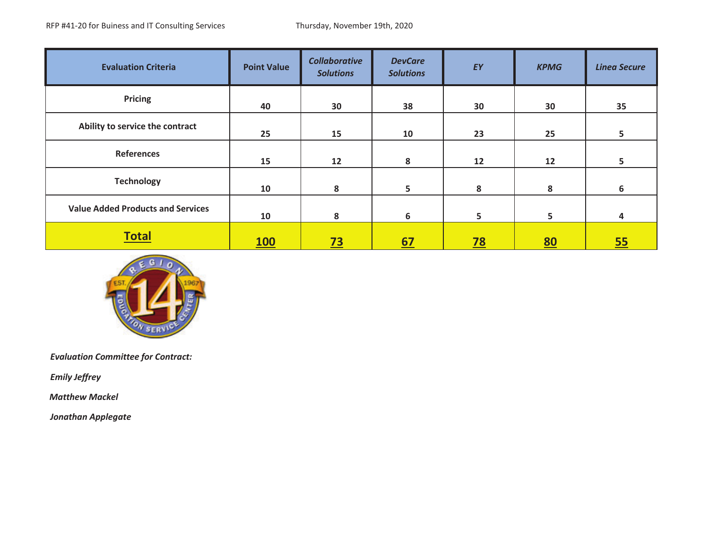| <b>Evaluation Criteria</b>               | <b>Point Value</b> | <b>Collaborative</b><br><b>Solutions</b> | <b>DevCare</b><br><b>Solutions</b> | EY        | <b>KPMG</b> | <b>Linea Secure</b> |
|------------------------------------------|--------------------|------------------------------------------|------------------------------------|-----------|-------------|---------------------|
| <b>Pricing</b>                           | 40                 | 30                                       | 38                                 | 30        | 30          | 35                  |
| Ability to service the contract          | 25                 | 15                                       | 10                                 | 23        | 25          | 5                   |
| <b>References</b>                        | 15                 | 12                                       | 8                                  | 12        | 12          | 5                   |
| <b>Technology</b>                        | 10                 | 8                                        | 5                                  | 8         | 8           | 6                   |
| <b>Value Added Products and Services</b> | 10                 | 8                                        | 6                                  | 5         | 5           | 4                   |
| <b>Total</b>                             | <b>100</b>         | <u>73</u>                                | <u>67</u>                          | <u>78</u> | <u>80</u>   | 55                  |



*Emily Jeffrey*

*Matthew Mackel*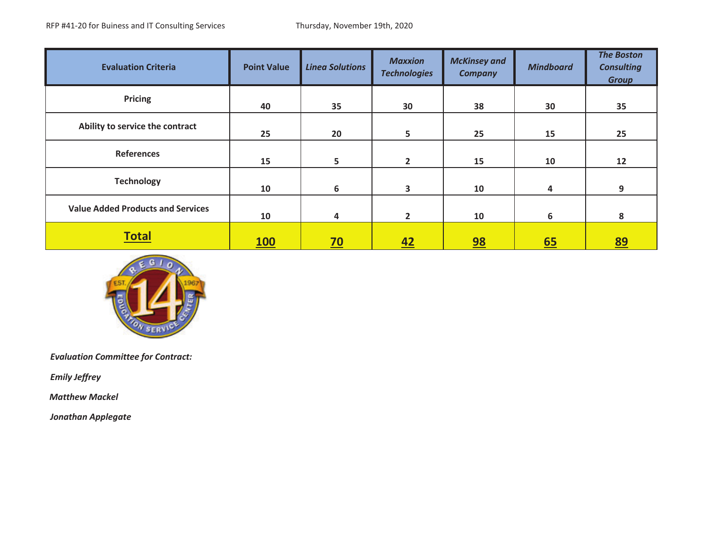| <b>Evaluation Criteria</b>               | <b>Point Value</b> | <b>Linea Solutions</b> | <b>Maxxion</b><br><b>Technologies</b> | <b>McKinsey and</b><br><b>Company</b> | <b>Mindboard</b> | <b>The Boston</b><br><b>Consulting</b><br><b>Group</b> |
|------------------------------------------|--------------------|------------------------|---------------------------------------|---------------------------------------|------------------|--------------------------------------------------------|
| <b>Pricing</b>                           | 40                 | 35                     | 30                                    | 38                                    | 30               | 35                                                     |
| Ability to service the contract          | 25                 | 20                     | 5                                     | 25                                    | 15               | 25                                                     |
| References                               | 15                 | 5                      | $\mathbf{2}$                          | 15                                    | 10               | 12                                                     |
| <b>Technology</b>                        | 10                 | 6                      | 3                                     | 10                                    | 4                | 9                                                      |
| <b>Value Added Products and Services</b> | 10                 | 4                      | $\mathbf{2}$                          | 10                                    | 6                | 8                                                      |
| <b>Total</b>                             | <u>100</u>         | <u>70</u>              | 42                                    | 98                                    | 65               | <u>89</u>                                              |



*Emily Jeffrey*

*Matthew Mackel*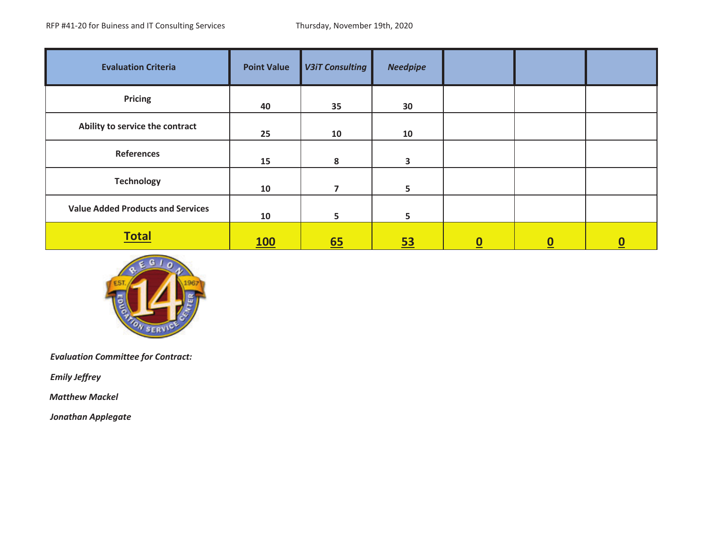| <b>Evaluation Criteria</b>               | <b>Point Value</b> | <b>V3iT Consulting</b> | <b>Needpipe</b> |                          |                  |          |
|------------------------------------------|--------------------|------------------------|-----------------|--------------------------|------------------|----------|
| <b>Pricing</b>                           | 40                 | 35                     | 30              |                          |                  |          |
| Ability to service the contract          | 25                 | 10                     | 10              |                          |                  |          |
| <b>References</b>                        | 15                 | 8                      | 3               |                          |                  |          |
| <b>Technology</b>                        | 10                 | 7                      | 5               |                          |                  |          |
| <b>Value Added Products and Services</b> | 10                 | 5                      | 5               |                          |                  |          |
| <b>Total</b>                             | <u>100</u>         | 65                     | <u>53</u>       | $\underline{\mathbf{0}}$ | $\boldsymbol{0}$ | <u>0</u> |



*Emily Jeffrey*

*Matthew Mackel*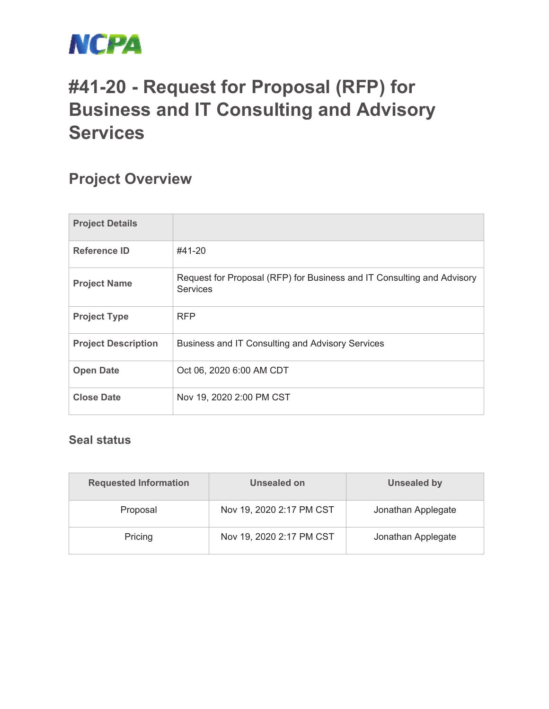

# **#41-20 - Request for Proposal (RFP) for Business and IT Consulting and Advisory Services**

## **Project Overview**

| <b>Project Details</b>     |                                                                                           |
|----------------------------|-------------------------------------------------------------------------------------------|
| <b>Reference ID</b>        | #41-20                                                                                    |
| <b>Project Name</b>        | Request for Proposal (RFP) for Business and IT Consulting and Advisory<br><b>Services</b> |
| <b>Project Type</b>        | <b>RFP</b>                                                                                |
| <b>Project Description</b> | Business and IT Consulting and Advisory Services                                          |
| <b>Open Date</b>           | Oct 06, 2020 6:00 AM CDT                                                                  |
| <b>Close Date</b>          | Nov 19, 2020 2:00 PM CST                                                                  |

#### **Seal status**

| <b>Requested Information</b> | Unsealed on              | <b>Unsealed by</b> |
|------------------------------|--------------------------|--------------------|
| Proposal                     | Nov 19, 2020 2:17 PM CST | Jonathan Applegate |
| Pricing                      | Nov 19, 2020 2:17 PM CST | Jonathan Applegate |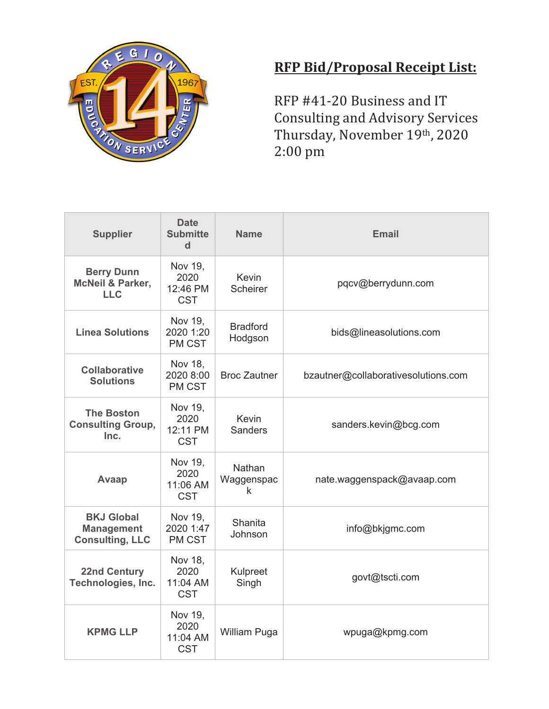

### **RFP Bid/Proposal Receipt List:**

RFP #41-20 Business and IT Consulting and Advisory Services Thursday, November 19th, 2020 2:00 pm

| <b>Supplier</b>                                                  | <b>Date</b><br><b>Submitte</b><br>$\mathbf d$ | <b>Name</b>                | <b>Email</b>                        |
|------------------------------------------------------------------|-----------------------------------------------|----------------------------|-------------------------------------|
| <b>Berry Dunn</b><br><b>McNeil &amp; Parker,</b><br><b>LLC</b>   | Nov 19,<br>2020<br>12:46 PM<br><b>CST</b>     | Kevin<br><b>Scheirer</b>   | pqcv@berrydunn.com                  |
| <b>Linea Solutions</b>                                           | Nov 19,<br>2020 1:20<br>PM CST                | <b>Bradford</b><br>Hodgson | bids@lineasolutions.com             |
| <b>Collaborative</b><br><b>Solutions</b>                         | Nov 18,<br>2020 8:00<br>PM CST                | <b>Broc Zautner</b>        | bzautner@collaborativesolutions.com |
| <b>The Boston</b><br><b>Consulting Group,</b><br>Inc.            | Nov 19,<br>2020<br>12:11 PM<br><b>CST</b>     | Kevin<br><b>Sanders</b>    | sanders.kevin@bcg.com               |
| Avaap                                                            | Nov 19,<br>2020<br>11:06 AM<br><b>CST</b>     | Nathan<br>Waggenspac<br>k  | nate.waggenspack@avaap.com          |
| <b>BKJ Global</b><br><b>Management</b><br><b>Consulting, LLC</b> | Nov 19,<br>2020 1:47<br>PM CST                | Shanita<br>Johnson         | info@bkjgmc.com                     |
| <b>22nd Century</b><br>Technologies, Inc.                        | Nov 18,<br>2020<br>11:04 AM<br><b>CST</b>     | Kulpreet<br>Singh          | govt@tscti.com                      |
| <b>KPMG LLP</b>                                                  | Nov 19,<br>2020<br>11:04 AM<br><b>CST</b>     | William Puga               | wpuga@kpmg.com                      |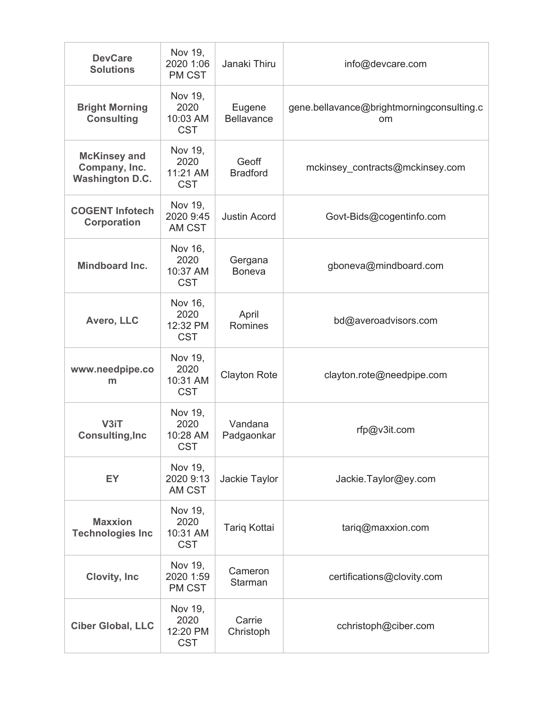| <b>DevCare</b><br><b>Solutions</b>                             | Nov 19,<br>2020 1:06<br>PM CST            | Janaki Thiru                | info@devcare.com                                |
|----------------------------------------------------------------|-------------------------------------------|-----------------------------|-------------------------------------------------|
| <b>Bright Morning</b><br><b>Consulting</b>                     | Nov 19,<br>2020<br>10:03 AM<br><b>CST</b> | Eugene<br><b>Bellavance</b> | gene.bellavance@brightmorningconsulting.c<br>om |
| <b>McKinsey and</b><br>Company, Inc.<br><b>Washington D.C.</b> | Nov 19,<br>2020<br>11:21 AM<br><b>CST</b> | Geoff<br><b>Bradford</b>    | mckinsey contracts@mckinsey.com                 |
| <b>COGENT Infotech</b><br><b>Corporation</b>                   | Nov 19,<br>2020 9:45<br>AM CST            | <b>Justin Acord</b>         | Govt-Bids@cogentinfo.com                        |
| Mindboard Inc.                                                 | Nov 16,<br>2020<br>10:37 AM<br><b>CST</b> | Gergana<br><b>Boneva</b>    | gboneva@mindboard.com                           |
| Avero, LLC                                                     | Nov 16,<br>2020<br>12:32 PM<br><b>CST</b> | April<br>Romines            | bd@averoadvisors.com                            |
| www.needpipe.co<br>m                                           | Nov 19,<br>2020<br>10:31 AM<br><b>CST</b> | <b>Clayton Rote</b>         | clayton.rote@needpipe.com                       |
| V3iT<br><b>Consulting, Inc</b>                                 | Nov 19,<br>2020<br>10:28 AM<br><b>CST</b> | Vandana<br>Padgaonkar       | rfp@v3it.com                                    |
| EY                                                             | Nov 19,<br>2020 9:13<br>AM CST            | Jackie Taylor               | Jackie.Taylor@ey.com                            |
| <b>Maxxion</b><br><b>Technologies Inc</b>                      | Nov 19,<br>2020<br>10:31 AM<br><b>CST</b> | Tariq Kottai                | $\text{tariq@maxxion.com}$                      |
| Clovity, Inc.                                                  | Nov 19,<br>2020 1:59<br>PM CST            | Cameron<br>Starman          | certifications@clovity.com                      |
| <b>Ciber Global, LLC</b>                                       | Nov 19,<br>2020<br>12:20 PM<br><b>CST</b> | Carrie<br>Christoph         | cchristoph@ciber.com                            |